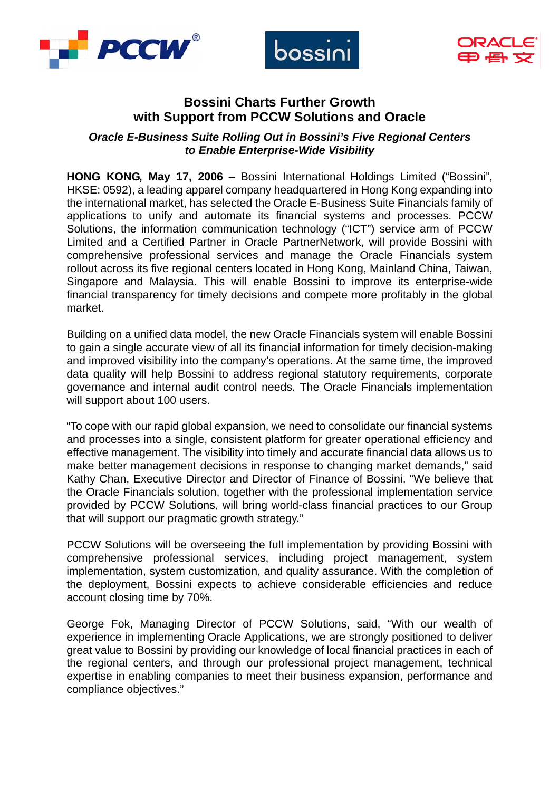





# **Bossini Charts Further Growth with Support from PCCW Solutions and Oracle**

*Oracle E-Business Suite Rolling Out in Bossini's Five Regional Centers to Enable Enterprise-Wide Visibility* 

**HONG KONG, May 17, 2006** – Bossini International Holdings Limited ("Bossini", HKSE: 0592), a leading apparel company headquartered in Hong Kong expanding into the international market, has selected the Oracle E-Business Suite Financials family of applications to unify and automate its financial systems and processes. PCCW Solutions, the information communication technology ("ICT") service arm of PCCW Limited and a Certified Partner in Oracle PartnerNetwork, will provide Bossini with comprehensive professional services and manage the Oracle Financials system rollout across its five regional centers located in Hong Kong, Mainland China, Taiwan, Singapore and Malaysia. This will enable Bossini to improve its enterprise-wide financial transparency for timely decisions and compete more profitably in the global market.

Building on a unified data model, the new Oracle Financials system will enable Bossini to gain a single accurate view of all its financial information for timely decision-making and improved visibility into the company's operations. At the same time, the improved data quality will help Bossini to address regional statutory requirements, corporate governance and internal audit control needs. The Oracle Financials implementation will support about 100 users.

"To cope with our rapid global expansion, we need to consolidate our financial systems and processes into a single, consistent platform for greater operational efficiency and effective management. The visibility into timely and accurate financial data allows us to make better management decisions in response to changing market demands," said Kathy Chan, Executive Director and Director of Finance of Bossini. "We believe that the Oracle Financials solution, together with the professional implementation service provided by PCCW Solutions, will bring world-class financial practices to our Group that will support our pragmatic growth strategy."

PCCW Solutions will be overseeing the full implementation by providing Bossini with comprehensive professional services, including project management, system implementation, system customization, and quality assurance. With the completion of the deployment, Bossini expects to achieve considerable efficiencies and reduce account closing time by 70%.

George Fok, Managing Director of PCCW Solutions, said, "With our wealth of experience in implementing Oracle Applications, we are strongly positioned to deliver great value to Bossini by providing our knowledge of local financial practices in each of the regional centers, and through our professional project management, technical expertise in enabling companies to meet their business expansion, performance and compliance objectives."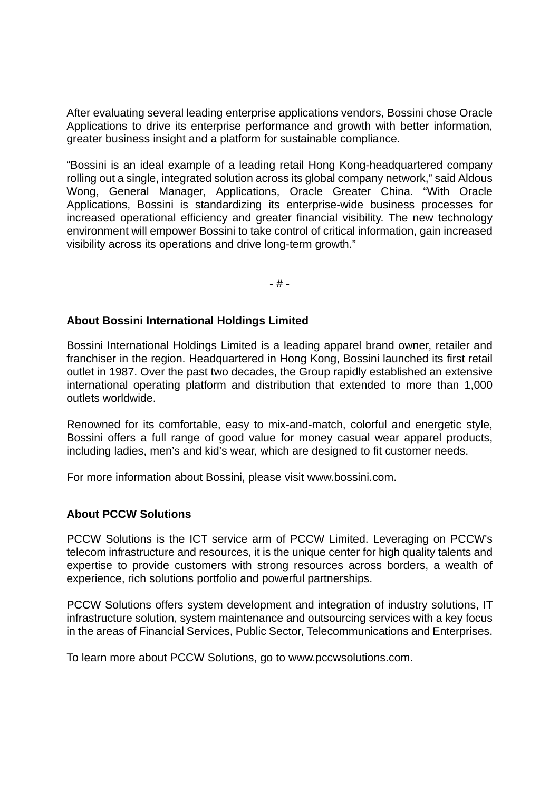After evaluating several leading enterprise applications vendors, Bossini chose Oracle Applications to drive its enterprise performance and growth with better information, greater business insight and a platform for sustainable compliance.

"Bossini is an ideal example of a leading retail Hong Kong-headquartered company rolling out a single, integrated solution across its global company network," said Aldous Wong, General Manager, Applications, Oracle Greater China. "With Oracle Applications, Bossini is standardizing its enterprise-wide business processes for increased operational efficiency and greater financial visibility. The new technology environment will empower Bossini to take control of critical information, gain increased visibility across its operations and drive long-term growth."

- # -

### **About Bossini International Holdings Limited**

Bossini International Holdings Limited is a leading apparel brand owner, retailer and franchiser in the region. Headquartered in Hong Kong, Bossini launched its first retail outlet in 1987. Over the past two decades, the Group rapidly established an extensive international operating platform and distribution that extended to more than 1,000 outlets worldwide.

Renowned for its comfortable, easy to mix-and-match, colorful and energetic style, Bossini offers a full range of good value for money casual wear apparel products, including ladies, men's and kid's wear, which are designed to fit customer needs.

For more information about Bossini, please visit www.bossini.com.

#### **About PCCW Solutions**

PCCW Solutions is the ICT service arm of PCCW Limited. Leveraging on PCCW's telecom infrastructure and resources, it is the unique center for high quality talents and expertise to provide customers with strong resources across borders, a wealth of experience, rich solutions portfolio and powerful partnerships.

PCCW Solutions offers system development and integration of industry solutions, IT infrastructure solution, system maintenance and outsourcing services with a key focus in the areas of Financial Services, Public Sector, Telecommunications and Enterprises.

To learn more about PCCW Solutions, go to www.pccwsolutions.com.